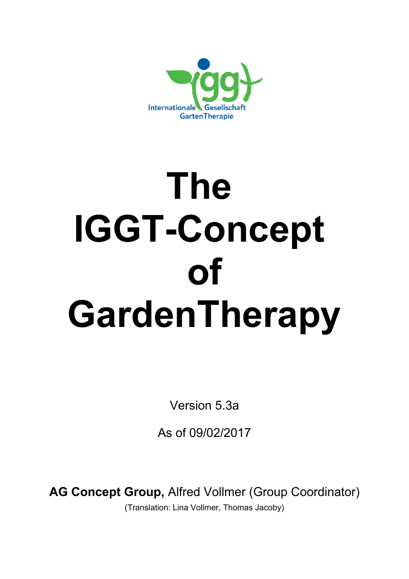

# **The IGGT-Concept of GardenTherapy**

Version 5.3a

As of 09/02/2017

**AG Concept Group,** Alfred Vollmer (Group Coordinator)

(Translation: Lina Vollmer, Thomas Jacoby)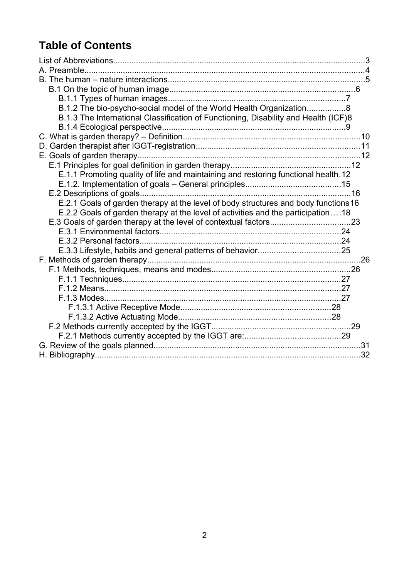# **Table of Contents**

<span id="page-1-0"></span>

| B.1.2 The bio-psycho-social model of the World Health Organization8                 |  |
|-------------------------------------------------------------------------------------|--|
| B.1.3 The International Classification of Functioning, Disability and Health (ICF)8 |  |
|                                                                                     |  |
|                                                                                     |  |
|                                                                                     |  |
|                                                                                     |  |
|                                                                                     |  |
| E.1.1 Promoting quality of life and maintaining and restoring functional health. 12 |  |
|                                                                                     |  |
|                                                                                     |  |
| E.2.1 Goals of garden therapy at the level of body structures and body functions 16 |  |
| E.2.2 Goals of garden therapy at the level of activities and the participation18    |  |
|                                                                                     |  |
|                                                                                     |  |
|                                                                                     |  |
|                                                                                     |  |
|                                                                                     |  |
|                                                                                     |  |
|                                                                                     |  |
|                                                                                     |  |
|                                                                                     |  |
|                                                                                     |  |
|                                                                                     |  |
|                                                                                     |  |
|                                                                                     |  |
|                                                                                     |  |
|                                                                                     |  |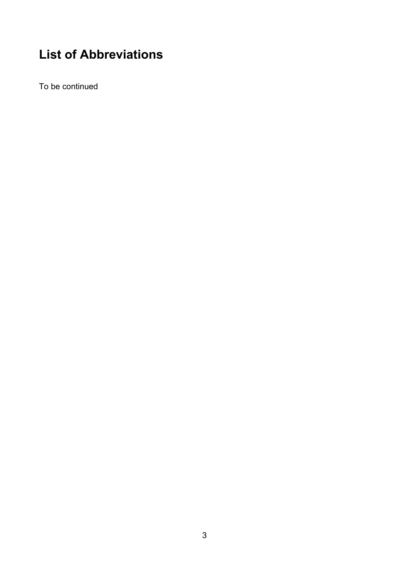# <span id="page-2-0"></span>**List of Abbreviations**

To be continued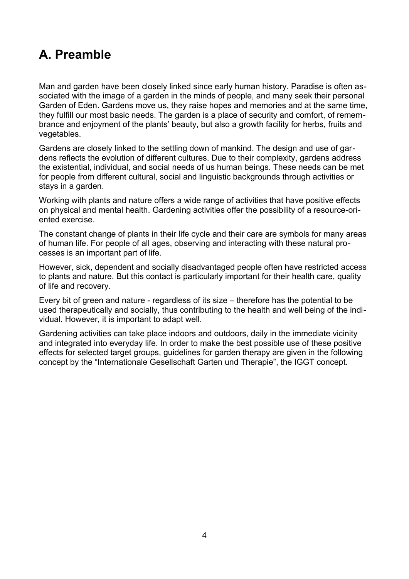# <span id="page-3-0"></span>**A. Preamble**

Man and garden have been closely linked since early human history. Paradise is often associated with the image of a garden in the minds of people, and many seek their personal Garden of Eden. Gardens move us, they raise hopes and memories and at the same time, they fulfill our most basic needs. The garden is a place of security and comfort, of remembrance and enjoyment of the plants' beauty, but also a growth facility for herbs, fruits and vegetables.

Gardens are closely linked to the settling down of mankind. The design and use of gardens reflects the evolution of different cultures. Due to their complexity, gardens address the existential, individual, and social needs of us human beings. These needs can be met for people from different cultural, social and linguistic backgrounds through activities or stays in a garden.

Working with plants and nature offers a wide range of activities that have positive effects on physical and mental health. Gardening activities offer the possibility of a resource-oriented exercise.

The constant change of plants in their life cycle and their care are symbols for many areas of human life. For people of all ages, observing and interacting with these natural processes is an important part of life.

However, sick, dependent and socially disadvantaged people often have restricted access to plants and nature. But this contact is particularly important for their health care, quality of life and recovery.

Every bit of green and nature - regardless of its size – therefore has the potential to be used therapeutically and socially, thus contributing to the health and well being of the individual. However, it is important to adapt well.

Gardening activities can take place indoors and outdoors, daily in the immediate vicinity and integrated into everyday life. In order to make the best possible use of these positive effects for selected target groups, guidelines for garden therapy are given in the following concept by the "Internationale Gesellschaft Garten und Therapie", the IGGT concept.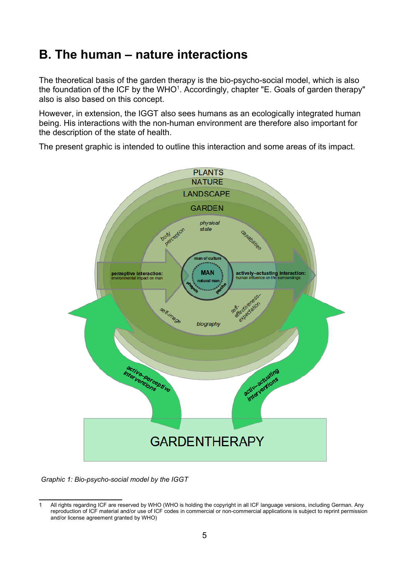# <span id="page-4-0"></span>**B. The human – nature interactions**

The theoretical basis of the garden therapy is the bio-psycho-social model, which is also the foundation of the ICF by the WHO<sup>[1](#page-4-1)</sup>. Accordingly, chapter "E. Goals of garden therapy" also is also based on this concept.

However, in extension, the IGGT also sees humans as an ecologically integrated human being. His interactions with the non-human environment are therefore also important for the description of the state of health.

The present graphic is intended to outline this interaction and some areas of its impact.



 *Graphic 1: Bio-psycho-social model by the IGGT*

<span id="page-4-1"></span>All rights regarding ICF are reserved by WHO (WHO is holding the copyright in all ICF language versions, including German. Any reproduction of ICF material and/or use of ICF codes in commercial or non-commercial applications is subject to reprint permission and/or license agreement granted by WHO)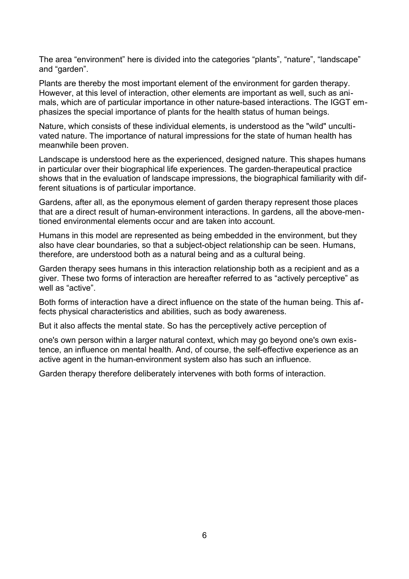The area "environment" here is divided into the categories "plants", "nature", "landscape" and "garden".

Plants are thereby the most important element of the environment for garden therapy. However, at this level of interaction, other elements are important as well, such as animals, which are of particular importance in other nature-based interactions. The IGGT emphasizes the special importance of plants for the health status of human beings.

Nature, which consists of these individual elements, is understood as the "wild" uncultivated nature. The importance of natural impressions for the state of human health has meanwhile been proven.

Landscape is understood here as the experienced, designed nature. This shapes humans in particular over their biographical life experiences. The garden-therapeutical practice shows that in the evaluation of landscape impressions, the biographical familiarity with different situations is of particular importance.

Gardens, after all, as the eponymous element of garden therapy represent those places that are a direct result of human-environment interactions. In gardens, all the above-mentioned environmental elements occur and are taken into account.

Humans in this model are represented as being embedded in the environment, but they also have clear boundaries, so that a subject-object relationship can be seen. Humans, therefore, are understood both as a natural being and as a cultural being.

Garden therapy sees humans in this interaction relationship both as a recipient and as a giver. These two forms of interaction are hereafter referred to as "actively perceptive" as well as "active"

Both forms of interaction have a direct influence on the state of the human being. This affects physical characteristics and abilities, such as body awareness.

But it also affects the mental state. So has the perceptively active perception of

one's own person within a larger natural context, which may go beyond one's own existence, an influence on mental health. And, of course, the self-effective experience as an active agent in the human-environment system also has such an influence.

Garden therapy therefore deliberately intervenes with both forms of interaction.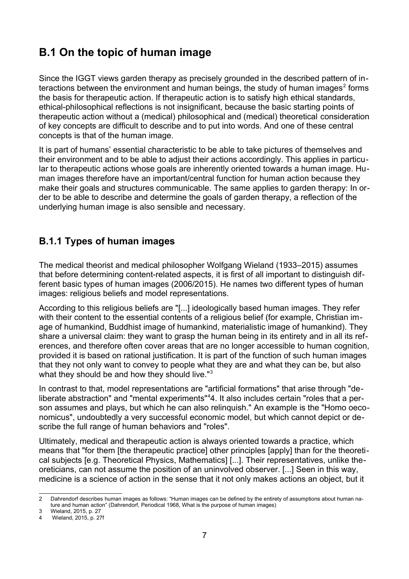# <span id="page-6-1"></span>**B.1 On the topic of human image**

Since the IGGT views garden therapy as precisely grounded in the described pattern of in-teractions between the environment and human beings, the study of human images<sup>[2](#page-6-2)</sup> forms the basis for therapeutic action. If therapeutic action is to satisfy high ethical standards, ethical-philosophical reflections is not insignificant, because the basic starting points of therapeutic action without a (medical) philosophical and (medical) theoretical consideration of key concepts are difficult to describe and to put into words. And one of these central concepts is that of the human image.

It is part of humans' essential characteristic to be able to take pictures of themselves and their environment and to be able to adjust their actions accordingly. This applies in particular to therapeutic actions whose goals are inherently oriented towards a human image. Human images therefore have an important/central function for human action because they make their goals and structures communicable. The same applies to garden therapy: In order to be able to describe and determine the goals of garden therapy, a reflection of the underlying human image is also sensible and necessary.

## <span id="page-6-0"></span>**B.1.1 Types of human images**

The medical theorist and medical philosopher Wolfgang Wieland (1933–2015) assumes that before determining content-related aspects, it is first of all important to distinguish different basic types of human images (2006/2015). He names two different types of human images: religious beliefs and model representations.

According to this religious beliefs are "[...] ideologically based human images. They refer with their content to the essential contents of a religious belief (for example, Christian image of humankind, Buddhist image of humankind, materialistic image of humankind). They share a universal claim: they want to grasp the human being in its entirety and in all its references, and therefore often cover areas that are no longer accessible to human cognition, provided it is based on rational justification. It is part of the function of such human images that they not only want to convey to people what they are and what they can be, but also what they should be and how they should live."<sup>[3](#page-6-3)</sup>

In contrast to that, model representations are "artificial formations" that arise through "deliberate abstraction" and "mental experiments"[4](#page-6-4)4. It also includes certain "roles that a person assumes and plays, but which he can also relinquish." An example is the "Homo oeconomicus", undoubtedly a very successful economic model, but which cannot depict or describe the full range of human behaviors and "roles".

Ultimately, medical and therapeutic action is always oriented towards a practice, which means that "for them [the therapeutic practice] other principles [apply] than for the theoretical subjects [e.g. Theoretical Physics, Mathematics] [...]. Their representatives, unlike theoreticians, can not assume the position of an uninvolved observer. [...] Seen in this way, medicine is a science of action in the sense that it not only makes actions an object, but it

<span id="page-6-2"></span><sup>2</sup> Dahrendorf describes human images as follows: "Human images can be defined by the entirety of assumptions about human nature and human action" (Dahrendorf, Periodical 1968, What is the purpose of human images)

<span id="page-6-3"></span><sup>3</sup> Wieland, 2015, p. 27

<span id="page-6-4"></span>Wieland, 2015, p. 27f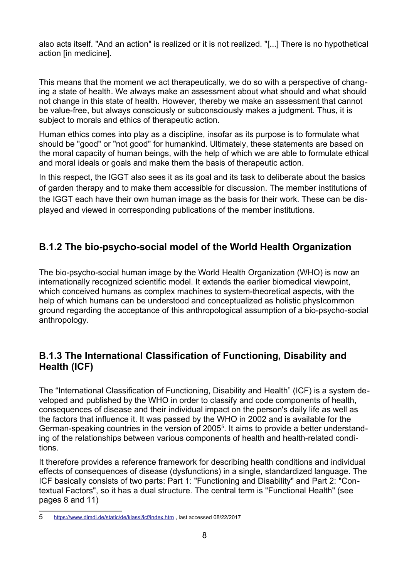also acts itself. "And an action" is realized or it is not realized. "[...] There is no hypothetical action [in medicine].

This means that the moment we act therapeutically, we do so with a perspective of changing a state of health. We always make an assessment about what should and what should not change in this state of health. However, thereby we make an assessment that cannot be value-free, but always consciously or subconsciously makes a judgment. Thus, it is subject to morals and ethics of therapeutic action.

Human ethics comes into play as a discipline, insofar as its purpose is to formulate what should be "good" or "not good" for humankind. Ultimately, these statements are based on the moral capacity of human beings, with the help of which we are able to formulate ethical and moral ideals or goals and make them the basis of therapeutic action.

In this respect, the IGGT also sees it as its goal and its task to deliberate about the basics of garden therapy and to make them accessible for discussion. The member institutions of the IGGT each have their own human image as the basis for their work. These can be displayed and viewed in corresponding publications of the member institutions.

## <span id="page-7-1"></span>**B.1.2 The bio-psycho-social model of the World Health Organization**

The bio-psycho-social human image by the World Health Organization (WHO) is now an internationally recognized scientific model. It extends the earlier biomedical viewpoint, which conceived humans as complex machines to system-theoretical aspects, with the help of which humans can be understood and conceptualized as holistic physIcommon ground regarding the acceptance of this anthropological assumption of a bio-psycho-social anthropology.

## <span id="page-7-0"></span>**B.1.3 The International Classification of Functioning, Disability and Health (ICF)**

The "International Classification of Functioning, Disability and Health" (ICF) is a system developed and published by the WHO in order to classify and code components of health, consequences of disease and their individual impact on the person's daily life as well as the factors that influence it. It was passed by the WHO in 2002 and is available for the German-speaking countries in the version of 200[5](#page-7-2)<sup>5</sup>. It aims to provide a better understanding of the relationships between various components of health and health-related conditions.

It therefore provides a reference framework for describing health conditions and individual effects of consequences of disease (dysfunctions) in a single, standardized language. The ICF basically consists of two parts: Part 1: "Functioning and Disability" and Part 2: "Contextual Factors", so it has a dual structure. The central term is "Functional Health" (see pages 8 and 11)

<span id="page-7-2"></span><sup>5</sup> https://www.dimdi.de/static/de/klassi/icf/index.htm , last accessed 08/22/2017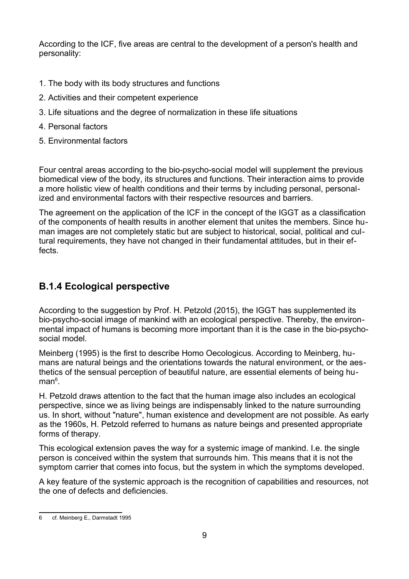According to the ICF, five areas are central to the development of a person's health and personality:

- 1. The body with its body structures and functions
- 2. Activities and their competent experience
- 3. Life situations and the degree of normalization in these life situations
- 4. Personal factors
- 5. Environmental factors

Four central areas according to the bio-psycho-social model will supplement the previous biomedical view of the body, its structures and functions. Their interaction aims to provide a more holistic view of health conditions and their terms by including personal, personalized and environmental factors with their respective resources and barriers.

The agreement on the application of the ICF in the concept of the IGGT as a classification of the components of health results in another element that unites the members. Since human images are not completely static but are subject to historical, social, political and cultural requirements, they have not changed in their fundamental attitudes, but in their effects.

## <span id="page-8-0"></span>**B.1.4 Ecological perspective**

According to the suggestion by Prof. H. Petzold (2015), the IGGT has supplemented its bio-psycho-social image of mankind with an ecological perspective. Thereby, the environmental impact of humans is becoming more important than it is the case in the bio-psychosocial model.

Meinberg (1995) is the first to describe Homo Oecologicus. According to Meinberg, humans are natural beings and the orientations towards the natural environment, or the aesthetics of the sensual perception of beautiful nature, are essential elements of being hu-man<sup>[6](#page-8-1)</sup>.

H. Petzold draws attention to the fact that the human image also includes an ecological perspective, since we as living beings are indispensably linked to the nature surrounding us. In short, without "nature", human existence and development are not possible. As early as the 1960s, H. Petzold referred to humans as nature beings and presented appropriate forms of therapy.

This ecological extension paves the way for a systemic image of mankind. I.e. the single person is conceived within the system that surrounds him. This means that it is not the symptom carrier that comes into focus, but the system in which the symptoms developed.

A key feature of the systemic approach is the recognition of capabilities and resources, not the one of defects and deficiencies.

<span id="page-8-1"></span><sup>6</sup> cf. Meinberg E., Darmstadt 1995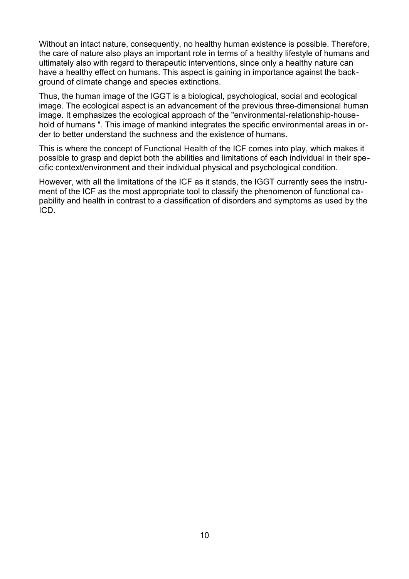Without an intact nature, consequently, no healthy human existence is possible. Therefore, the care of nature also plays an important role in terms of a healthy lifestyle of humans and ultimately also with regard to therapeutic interventions, since only a healthy nature can have a healthy effect on humans. This aspect is gaining in importance against the background of climate change and species extinctions.

Thus, the human image of the IGGT is a biological, psychological, social and ecological image. The ecological aspect is an advancement of the previous three-dimensional human image. It emphasizes the ecological approach of the "environmental-relationship-household of humans ". This image of mankind integrates the specific environmental areas in order to better understand the suchness and the existence of humans.

This is where the concept of Functional Health of the ICF comes into play, which makes it possible to grasp and depict both the abilities and limitations of each individual in their specific context/environment and their individual physical and psychological condition.

However, with all the limitations of the ICF as it stands, the IGGT currently sees the instrument of the ICF as the most appropriate tool to classify the phenomenon of functional capability and health in contrast to a classification of disorders and symptoms as used by the ICD.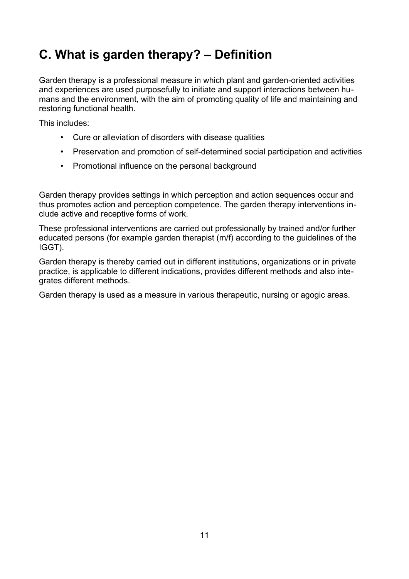# <span id="page-10-0"></span>**C. What is garden therapy? – Definition**

Garden therapy is a professional measure in which plant and garden-oriented activities and experiences are used purposefully to initiate and support interactions between humans and the environment, with the aim of promoting quality of life and maintaining and restoring functional health.

This includes:

- Cure or alleviation of disorders with disease qualities
- Preservation and promotion of self-determined social participation and activities
- Promotional influence on the personal background

Garden therapy provides settings in which perception and action sequences occur and thus promotes action and perception competence. The garden therapy interventions include active and receptive forms of work.

These professional interventions are carried out professionally by trained and/or further educated persons (for example garden therapist (m/f) according to the guidelines of the IGGT).

Garden therapy is thereby carried out in different institutions, organizations or in private practice, is applicable to different indications, provides different methods and also integrates different methods.

Garden therapy is used as a measure in various therapeutic, nursing or agogic areas.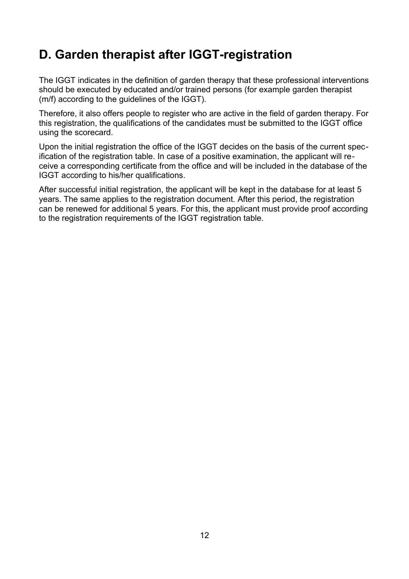# <span id="page-11-0"></span>**D. Garden therapist after IGGT-registration**

The IGGT indicates in the definition of garden therapy that these professional interventions should be executed by educated and/or trained persons (for example garden therapist (m/f) according to the guidelines of the IGGT).

Therefore, it also offers people to register who are active in the field of garden therapy. For this registration, the qualifications of the candidates must be submitted to the IGGT office using the scorecard.

Upon the initial registration the office of the IGGT decides on the basis of the current specification of the registration table. In case of a positive examination, the applicant will receive a corresponding certificate from the office and will be included in the database of the IGGT according to his/her qualifications.

After successful initial registration, the applicant will be kept in the database for at least 5 years. The same applies to the registration document. After this period, the registration can be renewed for additional 5 years. For this, the applicant must provide proof according to the registration requirements of the IGGT registration table.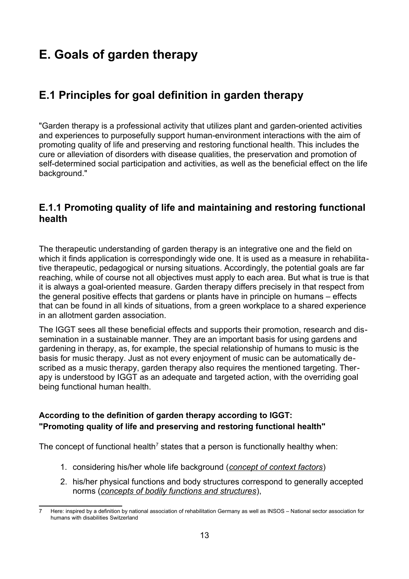# <span id="page-12-2"></span>**E. Goals of garden therapy**

# <span id="page-12-1"></span>**E.1 Principles for goal definition in garden therapy**

"Garden therapy is a professional activity that utilizes plant and garden-oriented activities and experiences to purposefully support human-environment interactions with the aim of promoting quality of life and preserving and restoring functional health. This includes the cure or alleviation of disorders with disease qualities, the preservation and promotion of self-determined social participation and activities, as well as the beneficial effect on the life background."

## <span id="page-12-0"></span>**E.1.1 Promoting quality of life and maintaining and restoring functional health**

The therapeutic understanding of garden therapy is an integrative one and the field on which it finds application is correspondingly wide one. It is used as a measure in rehabilitative therapeutic, pedagogical or nursing situations. Accordingly, the potential goals are far reaching, while of course not all objectives must apply to each area. But what is true is that it is always a goal-oriented measure. Garden therapy differs precisely in that respect from the general positive effects that gardens or plants have in principle on humans – effects that can be found in all kinds of situations, from a green workplace to a shared experience in an allotment garden association.

The IGGT sees all these beneficial effects and supports their promotion, research and dissemination in a sustainable manner. They are an important basis for using gardens and gardening in therapy, as, for example, the special relationship of humans to music is the basis for music therapy. Just as not every enjoyment of music can be automatically described as a music therapy, garden therapy also requires the mentioned targeting. Therapy is understood by IGGT as an adequate and targeted action, with the overriding goal being functional human health.

#### **According to the definition of garden therapy according to IGGT: "Promoting quality of life and preserving and restoring functional health"**

The concept of functional health<sup>[7](#page-12-3)</sup> states that a person is functionally healthy when:

- 1. considering his/her whole life background (*concept of context factors*)
- 2. his/her physical functions and body structures correspond to generally accepted norms (*concepts of bodily functions and structures*),

<span id="page-12-3"></span>Here: inspired by a definition by national association of rehabilitation Germany as well as INSOS – National sector association for humans with disabilities Switzerland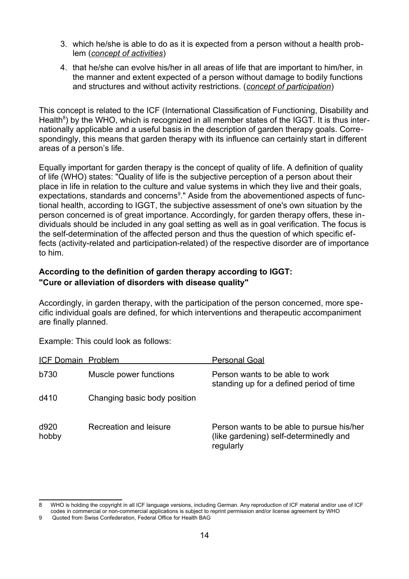- 3. which he/she is able to do as it is expected from a person without a health problem (*concept of activities*)
- 4. that he/she can evolve his/her in all areas of life that are important to him/her, in the manner and extent expected of a person without damage to bodily functions and structures and without activity restrictions. (*concept of participation*)

This concept is related to the ICF (International Classification of Functioning, Disability and Health<sup>[8](#page-13-0)</sup>) by the WHO, which is recognized in all member states of the IGGT. It is thus internationally applicable and a useful basis in the description of garden therapy goals. Correspondingly, this means that garden therapy with its influence can certainly start in different areas of a person's life.

Equally important for garden therapy is the concept of quality of life. A definition of quality of life (WHO) states: "Quality of life is the subjective perception of a person about their place in life in relation to the culture and value systems in which they live and their goals, expectations, standards and concerns<sup>[9](#page-13-1)</sup>." Aside from the abovementioned aspects of functional health, according to IGGT, the subjective assessment of one's own situation by the person concerned is of great importance. Accordingly, for garden therapy offers, these individuals should be included in any goal setting as well as in goal verification. The focus is the self-determination of the affected person and thus the question of which specific effects (activity-related and participation-related) of the respective disorder are of importance to him.

#### **According to the definition of garden therapy according to IGGT: "Cure or alleviation of disorders with disease quality"**

Accordingly, in garden therapy, with the participation of the person concerned, more specific individual goals are defined, for which interventions and therapeutic accompaniment are finally planned.

Example: This could look as follows:

| ICF Domain Problem |                              | <b>Personal Goal</b>                                                                             |
|--------------------|------------------------------|--------------------------------------------------------------------------------------------------|
| <b>b730</b>        | Muscle power functions       | Person wants to be able to work<br>standing up for a defined period of time                      |
| d410               | Changing basic body position |                                                                                                  |
| d920<br>hobby      | Recreation and leisure       | Person wants to be able to pursue his/her<br>(like gardening) self-determinedly and<br>regularly |

<span id="page-13-0"></span><sup>8</sup> WHO is holding the copyright in all ICF language versions, including German. Any reproduction of ICF material and/or use of ICF codes in commercial or non-commercial applications is subject to reprint permission and/or license agreement by WHO

<span id="page-13-1"></span><sup>9</sup> Quoted from Swiss Confederation, Federal Office for Health BAG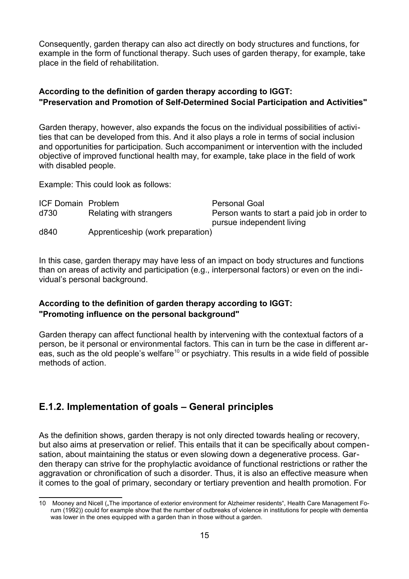Consequently, garden therapy can also act directly on body structures and functions, for example in the form of functional therapy. Such uses of garden therapy, for example, take place in the field of rehabilitation.

#### **According to the definition of garden therapy according to IGGT: "Preservation and Promotion of Self-Determined Social Participation and Activities"**

Garden therapy, however, also expands the focus on the individual possibilities of activities that can be developed from this. And it also plays a role in terms of social inclusion and opportunities for participation. Such accompaniment or intervention with the included objective of improved functional health may, for example, take place in the field of work with disabled people.

Example: This could look as follows:

| <b>ICF Domain Problem</b> |                                   | <b>Personal Goal</b>                         |
|---------------------------|-----------------------------------|----------------------------------------------|
| d730                      | Relating with strangers           | Person wants to start a paid job in order to |
|                           |                                   | pursue independent living                    |
| d840                      | Apprenticeship (work preparation) |                                              |

In this case, garden therapy may have less of an impact on body structures and functions than on areas of activity and participation (e.g., interpersonal factors) or even on the individual's personal background.

#### **According to the definition of garden therapy according to IGGT: "Promoting influence on the personal background"**

Garden therapy can affect functional health by intervening with the contextual factors of a person, be it personal or environmental factors. This can in turn be the case in different ar-eas, such as the old people's welfare<sup>[10](#page-14-1)</sup> or psychiatry. This results in a wide field of possible methods of action.

## <span id="page-14-0"></span>**E.1.2. Implementation of goals – General principles**

As the definition shows, garden therapy is not only directed towards healing or recovery, but also aims at preservation or relief. This entails that it can be specifically about compensation, about maintaining the status or even slowing down a degenerative process. Garden therapy can strive for the prophylactic avoidance of functional restrictions or rather the aggravation or chronification of such a disorder. Thus, it is also an effective measure when it comes to the goal of primary, secondary or tertiary prevention and health promotion. For

<span id="page-14-1"></span><sup>10</sup> Mooney and Nicell ("The importance of exterior environment for Alzheimer residents", Health Care Management Forum (1992)) could for example show that the number of outbreaks of violence in institutions for people with dementia was lower in the ones equipped with a garden than in those without a garden.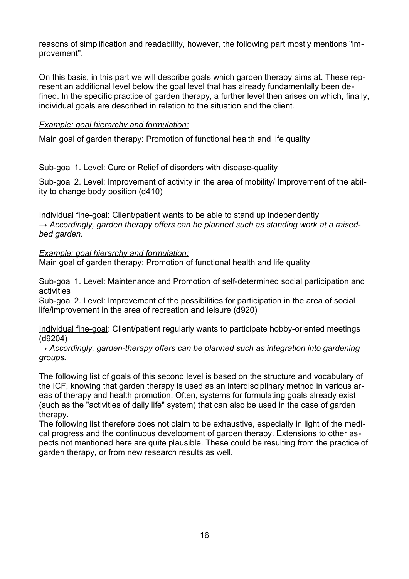reasons of simplification and readability, however, the following part mostly mentions "improvement".

On this basis, in this part we will describe goals which garden therapy aims at. These represent an additional level below the goal level that has already fundamentally been defined. In the specific practice of garden therapy, a further level then arises on which, finally, individual goals are described in relation to the situation and the client.

#### *Example: goal hierarchy and formulation:*

Main goal of garden therapy: Promotion of functional health and life quality

Sub-goal 1. Level: Cure or Relief of disorders with disease-quality

Sub-goal 2. Level: Improvement of activity in the area of mobility/ Improvement of the ability to change body position (d410)

Individual fine-goal: Client/patient wants to be able to stand up independently *→ Accordingly, garden therapy offers can be planned such as standing work at a raisedbed garden.*

*Example: goal hierarchy and formulation:*

Main goal of garden therapy: Promotion of functional health and life quality

Sub-goal 1. Level: Maintenance and Promotion of self-determined social participation and activities

Sub-goal 2. Level: Improvement of the possibilities for participation in the area of social life/improvement in the area of recreation and leisure (d920)

Individual fine-goal: Client/patient regularly wants to participate hobby-oriented meetings (d9204)

*→ Accordingly, garden-therapy offers can be planned such as integration into gardening groups.* 

The following list of goals of this second level is based on the structure and vocabulary of the ICF, knowing that garden therapy is used as an interdisciplinary method in various areas of therapy and health promotion. Often, systems for formulating goals already exist (such as the "activities of daily life" system) that can also be used in the case of garden therapy.

The following list therefore does not claim to be exhaustive, especially in light of the medical progress and the continuous development of garden therapy. Extensions to other aspects not mentioned here are quite plausible. These could be resulting from the practice of garden therapy, or from new research results as well.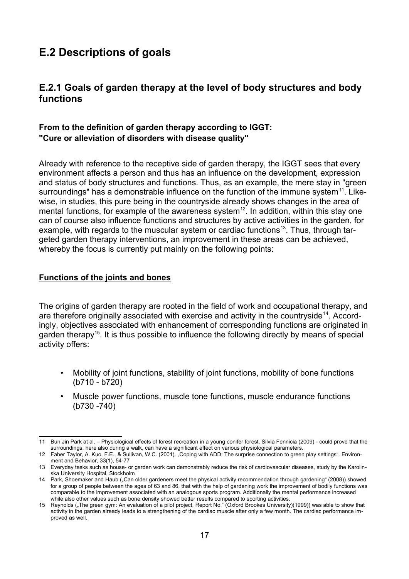# <span id="page-16-1"></span>**E.2 Descriptions of goals**

## <span id="page-16-0"></span>**E.2.1 Goals of garden therapy at the level of body structures and body functions**

#### **From to the definition of garden therapy according to IGGT: "Cure or alleviation of disorders with disease quality"**

Already with reference to the receptive side of garden therapy, the IGGT sees that every environment affects a person and thus has an influence on the development, expression and status of body structures and functions. Thus, as an example, the mere stay in "green surroundings" has a demonstrable influence on the function of the immune system<sup>[11](#page-16-2)</sup>. Likewise, in studies, this pure being in the countryside already shows changes in the area of mental functions, for example of the awareness system<sup>[12](#page-16-3)</sup>. In addition, within this stay one can of course also influence functions and structures by active activities in the garden, for example, with regards to the muscular system or cardiac functions<sup>[13](#page-16-4)</sup>. Thus, through targeted garden therapy interventions, an improvement in these areas can be achieved, whereby the focus is currently put mainly on the following points:

#### **Functions of the joints and bones**

The origins of garden therapy are rooted in the field of work and occupational therapy, and are therefore originally associated with exercise and activity in the countryside<sup>[14](#page-16-5)</sup>. Accordingly, objectives associated with enhancement of corresponding functions are originated in garden therapy<sup>[15](#page-16-6)</sup>. It is thus possible to influence the following directly by means of special activity offers:

- Mobility of joint functions, stability of joint functions, mobility of bone functions (b710 - b720)
- Muscle power functions, muscle tone functions, muscle endurance functions (b730 -740)

<span id="page-16-2"></span><sup>11</sup> Bun Jin Park at al. – Physiological effects of forest recreation in a young conifer forest, Silvia Fennicia (2009) - could prove that the surroundings, here also during a walk, can have a significant effect on various physiological parameters.

<span id="page-16-3"></span><sup>12</sup> Faber Taylor, A. Kuo, F.E., & Sullivan, W.C. (2001). "Coping with ADD: The surprise connection to green play settings". Environment and Behavior, 33(1), 54-77

<span id="page-16-4"></span><sup>13</sup> Everyday tasks such as house- or garden work can demonstrably reduce the risk of cardiovascular diseases, study by the Karolinska University Hospital, Stockholm

<span id="page-16-5"></span><sup>14</sup> Park, Shoemaker and Haub ("Can older gardeners meet the physical activity recommendation through gardening" (2008)) showed for a group of people between the ages of 63 and 86, that with the help of gardening work the improvement of bodily functions was comparable to the improvement associated with an analogous sports program. Additionally the mental performance increased while also other values such as bone density showed better results compared to sporting activities.

<span id="page-16-6"></span><sup>15</sup> Reynolds ("The green gym: An evaluation of a pilot project, Report No." (Oxford Brookes University)(1999)) was able to show that activity in the garden already leads to a strengthening of the cardiac muscle after only a few month. The cardiac performance improved as well.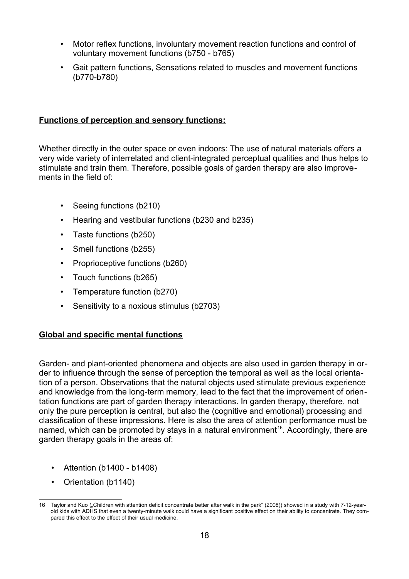- Motor reflex functions, involuntary movement reaction functions and control of voluntary movement functions (b750 - b765)
- Gait pattern functions, Sensations related to muscles and movement functions (b770-b780)

#### **Functions of perception and sensory functions:**

Whether directly in the outer space or even indoors: The use of natural materials offers a very wide variety of interrelated and client-integrated perceptual qualities and thus helps to stimulate and train them. Therefore, possible goals of garden therapy are also improvements in the field of:

- Seeing functions (b210)
- Hearing and vestibular functions (b230 and b235)
- Taste functions (b250)
- Smell functions (b255)
- Proprioceptive functions (b260)
- Touch functions (b265)
- Temperature function (b270)
- Sensitivity to a noxious stimulus (b2703)

#### **Global and specific mental functions**

Garden- and plant-oriented phenomena and objects are also used in garden therapy in order to influence through the sense of perception the temporal as well as the local orientation of a person. Observations that the natural objects used stimulate previous experience and knowledge from the long-term memory, lead to the fact that the improvement of orientation functions are part of garden therapy interactions. In garden therapy, therefore, not only the pure perception is central, but also the (cognitive and emotional) processing and classification of these impressions. Here is also the area of attention performance must be named, which can be promoted by stays in a natural environment<sup>[16](#page-17-0)</sup>. Accordingly, there are garden therapy goals in the areas of:

- Attention (b1400 b1408)
- Orientation (b1140)

<span id="page-17-0"></span><sup>16</sup> Taylor and Kuo ("Children with attention deficit concentrate better after walk in the park" (2008)) showed in a study with 7-12-yearold kids with ADHS that even a twenty-minute walk could have a significant positive effect on their ability to concentrate. They compared this effect to the effect of their usual medicine.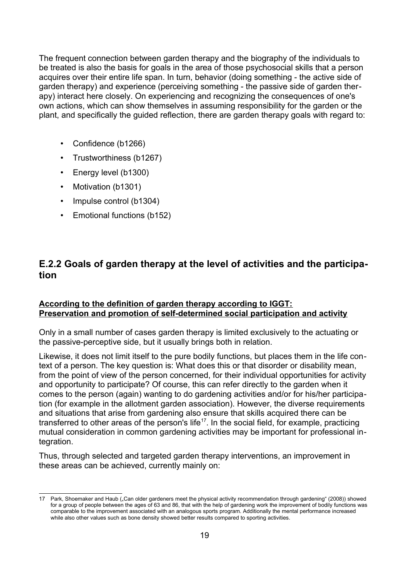The frequent connection between garden therapy and the biography of the individuals to be treated is also the basis for goals in the area of those psychosocial skills that a person acquires over their entire life span. In turn, behavior (doing something - the active side of garden therapy) and experience (perceiving something - the passive side of garden therapy) interact here closely. On experiencing and recognizing the consequences of one's own actions, which can show themselves in assuming responsibility for the garden or the plant, and specifically the guided reflection, there are garden therapy goals with regard to:

- Confidence (b1266)
- Trustworthiness (b1267)
- Energy level (b1300)
- Motivation (b1301)
- Impulse control (b1304)
- Emotional functions (b152)

## <span id="page-18-0"></span>**E.2.2 Goals of garden therapy at the level of activities and the participation**

#### **According to the definition of garden therapy according to IGGT: Preservation and promotion of self-determined social participation and activity**

Only in a small number of cases garden therapy is limited exclusively to the actuating or the passive-perceptive side, but it usually brings both in relation.

Likewise, it does not limit itself to the pure bodily functions, but places them in the life context of a person. The key question is: What does this or that disorder or disability mean, from the point of view of the person concerned, for their individual opportunities for activity and opportunity to participate? Of course, this can refer directly to the garden when it comes to the person (again) wanting to do gardening activities and/or for his/her participation (for example in the allotment garden association). However, the diverse requirements and situations that arise from gardening also ensure that skills acquired there can be transferred to other areas of the person's life<sup>[17](#page-18-1)</sup>. In the social field, for example, practicing mutual consideration in common gardening activities may be important for professional integration.

Thus, through selected and targeted garden therapy interventions, an improvement in these areas can be achieved, currently mainly on:

<span id="page-18-1"></span><sup>17</sup> Park, Shoemaker and Haub ("Can older gardeners meet the physical activity recommendation through gardening" (2008)) showed for a group of people between the ages of 63 and 86, that with the help of gardening work the improvement of bodily functions was comparable to the improvement associated with an analogous sports program. Additionally the mental performance increased while also other values such as bone density showed better results compared to sporting activities.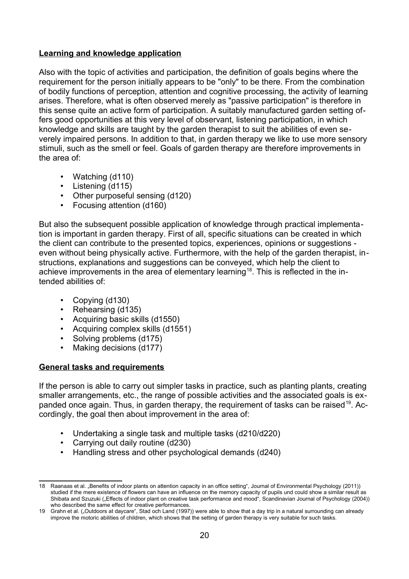#### **Learning and knowledge application**

Also with the topic of activities and participation, the definition of goals begins where the requirement for the person initially appears to be "only" to be there. From the combination of bodily functions of perception, attention and cognitive processing, the activity of learning arises. Therefore, what is often observed merely as "passive participation" is therefore in this sense quite an active form of participation. A suitably manufactured garden setting offers good opportunities at this very level of observant, listening participation, in which knowledge and skills are taught by the garden therapist to suit the abilities of even severely impaired persons. In addition to that, in garden therapy we like to use more sensory stimuli, such as the smell or feel. Goals of garden therapy are therefore improvements in the area of:

- Watching (d110)
- Listening (d115)
- Other purposeful sensing (d120)
- Focusing attention (d160)

But also the subsequent possible application of knowledge through practical implementation is important in garden therapy. First of all, specific situations can be created in which the client can contribute to the presented topics, experiences, opinions or suggestions even without being physically active. Furthermore, with the help of the garden therapist, instructions, explanations and suggestions can be conveved, which help the client to achieve improvements in the area of elementary learning<sup>[18](#page-19-0)</sup>. This is reflected in the intended abilities of:

- Copying (d130)
- Rehearsing (d135)
- Acquiring basic skills (d1550)
- Acquiring complex skills (d1551)
- Solving problems (d175)
- Making decisions (d177)

#### **General tasks and requirements**

If the person is able to carry out simpler tasks in practice, such as planting plants, creating smaller arrangements, etc., the range of possible activities and the associated goals is ex-panded once again. Thus, in garden therapy, the requirement of tasks can be raised<sup>[19](#page-19-1)</sup>. Accordingly, the goal then about improvement in the area of:

- Undertaking a single task and multiple tasks (d210/d220)
- Carrying out daily routine (d230)
- Handling stress and other psychological demands (d240)

<span id="page-19-0"></span><sup>18</sup> Raanaas et al. "Benefits of indoor plants on attention capacity in an office setting", Journal of Environmental Psychology (2011)) studied if the mere existence of flowers can have an influence on the memory capacity of pupils und could show a similar result as Shibata and Szuzuki ("Effects of indoor plant on creative task performance and mood", Scandinavian Journal of Psychology (2004)) who described the same effect for creative performances.

<span id="page-19-1"></span><sup>19</sup> Grahn et al. ("Outdoors at daycare", Stad och Land (1997)) were able to show that a day trip in a natural surrounding can already improve the motoric abilities of children, which shows that the setting of garden therapy is very suitable for such tasks.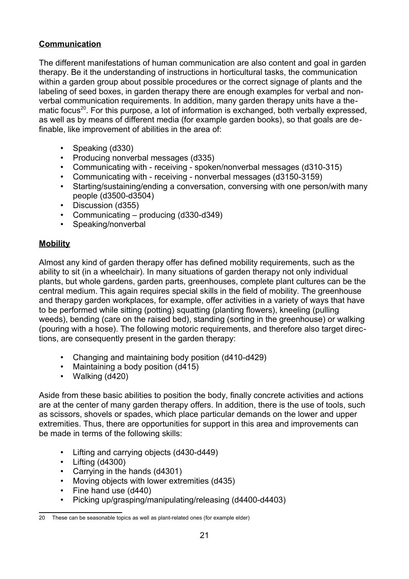#### **Communication**

The different manifestations of human communication are also content and goal in garden therapy. Be it the understanding of instructions in horticultural tasks, the communication within a garden group about possible procedures or the correct signage of plants and the labeling of seed boxes, in garden therapy there are enough examples for verbal and nonverbal communication requirements. In addition, many garden therapy units have a the-matic focus<sup>[20](#page-20-0)</sup>. For this purpose, a lot of information is exchanged, both verbally expressed, as well as by means of different media (for example garden books), so that goals are definable, like improvement of abilities in the area of:

- Speaking (d330)
- Producing nonverbal messages (d335)
- Communicating with receiving spoken/nonverbal messages (d310-315)
- Communicating with receiving nonverbal messages (d3150-3159)
- Starting/sustaining/ending a conversation, conversing with one person/with many people (d3500-d3504)
- Discussion (d355)
- Communicating producing (d330-d349)
- Speaking/nonverbal

#### **Mobility**

Almost any kind of garden therapy offer has defined mobility requirements, such as the ability to sit (in a wheelchair). In many situations of garden therapy not only individual plants, but whole gardens, garden parts, greenhouses, complete plant cultures can be the central medium. This again requires special skills in the field of mobility. The greenhouse and therapy garden workplaces, for example, offer activities in a variety of ways that have to be performed while sitting (potting) squatting (planting flowers), kneeling (pulling weeds), bending (care on the raised bed), standing (sorting in the greenhouse) or walking (pouring with a hose). The following motoric requirements, and therefore also target directions, are consequently present in the garden therapy:

- Changing and maintaining body position (d410-d429)
- Maintaining a body position (d415)
- Walking (d420)

Aside from these basic abilities to position the body, finally concrete activities and actions are at the center of many garden therapy offers. In addition, there is the use of tools, such as scissors, shovels or spades, which place particular demands on the lower and upper extremities. Thus, there are opportunities for support in this area and improvements can be made in terms of the following skills:

- Lifting and carrying objects (d430-d449)
- Lifting (d4300)
- Carrying in the hands (d4301)
- Moving objects with lower extremities (d435)
- Fine hand use (d440)
- Picking up/grasping/manipulating/releasing (d4400-d4403)

<span id="page-20-0"></span><sup>20</sup> These can be seasonable topics as well as plant-related ones (for example elder)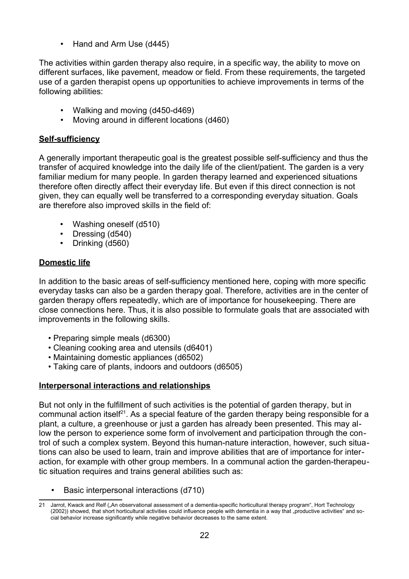• Hand and Arm Use (d445)

The activities within garden therapy also require, in a specific way, the ability to move on different surfaces, like pavement, meadow or field. From these requirements, the targeted use of a garden therapist opens up opportunities to achieve improvements in terms of the following abilities:

- Walking and moving (d450-d469)
- Moving around in different locations (d460)

#### **Self-sufficiency**

A generally important therapeutic goal is the greatest possible self-sufficiency and thus the transfer of acquired knowledge into the daily life of the client/patient. The garden is a very familiar medium for many people. In garden therapy learned and experienced situations therefore often directly affect their everyday life. But even if this direct connection is not given, they can equally well be transferred to a corresponding everyday situation. Goals are therefore also improved skills in the field of:

- Washing oneself (d510)
- Dressing (d540)
- Drinking (d560)

#### **Domestic life**

In addition to the basic areas of self-sufficiency mentioned here, coping with more specific everyday tasks can also be a garden therapy goal. Therefore, activities are in the center of garden therapy offers repeatedly, which are of importance for housekeeping. There are close connections here. Thus, it is also possible to formulate goals that are associated with improvements in the following skills.

- Preparing simple meals (d6300)
- Cleaning cooking area and utensils (d6401)
- Maintaining domestic appliances (d6502)
- Taking care of plants, indoors and outdoors (d6505)

#### **Interpersonal interactions and relationships**

But not only in the fulfillment of such activities is the potential of garden therapy, but in communal action itself<sup>[21](#page-21-0)</sup>. As a special feature of the garden therapy being responsible for a plant, a culture, a greenhouse or just a garden has already been presented. This may allow the person to experience some form of involvement and participation through the control of such a complex system. Beyond this human-nature interaction, however, such situations can also be used to learn, train and improve abilities that are of importance for interaction, for example with other group members. In a communal action the garden-therapeutic situation requires and trains general abilities such as:

• Basic interpersonal interactions (d710)

<span id="page-21-0"></span><sup>21</sup> Jarrot, Kwack and Relf ("An observational assessment of a dementia-specific horticultural therapy program", Hort Technology (2002)) showed, that short horticultural activities could influence people with dementia in a way that "productive activities" and social behavior increase significantly while negative behavior decreases to the same extent.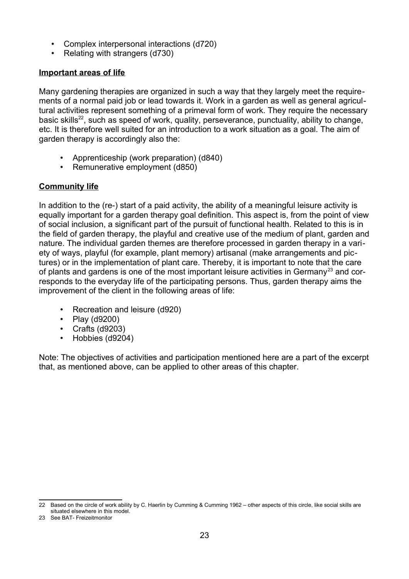- Complex interpersonal interactions (d720)
- Relating with strangers (d730)

#### **Important areas of life**

Many gardening therapies are organized in such a way that they largely meet the requirements of a normal paid job or lead towards it. Work in a garden as well as general agricultural activities represent something of a primeval form of work. They require the necessary basic skills<sup>[22](#page-22-0)</sup>, such as speed of work, quality, perseverance, punctuality, ability to change, etc. It is therefore well suited for an introduction to a work situation as a goal. The aim of garden therapy is accordingly also the:

- Apprenticeship (work preparation) (d840)
- Remunerative employment (d850)

#### **Community life**

In addition to the (re-) start of a paid activity, the ability of a meaningful leisure activity is equally important for a garden therapy goal definition. This aspect is, from the point of view of social inclusion, a significant part of the pursuit of functional health. Related to this is in the field of garden therapy, the playful and creative use of the medium of plant, garden and nature. The individual garden themes are therefore processed in garden therapy in a variety of ways, playful (for example, plant memory) artisanal (make arrangements and pictures) or in the implementation of plant care. Thereby, it is important to note that the care of plants and gardens is one of the most important leisure activities in Germany<sup>[23](#page-22-1)</sup> and corresponds to the everyday life of the participating persons. Thus, garden therapy aims the improvement of the client in the following areas of life:

- Recreation and leisure (d920)
- Play (d9200)
- Crafts (d9203)
- Hobbies (d9204)

Note: The objectives of activities and participation mentioned here are a part of the excerpt that, as mentioned above, can be applied to other areas of this chapter.

<span id="page-22-0"></span><sup>22</sup> Based on the circle of work ability by C. Haerlin by Cumming & Cumming 1962 – other aspects of this circle, like social skills are situated elsewhere in this model.

<span id="page-22-1"></span><sup>23</sup> See BAT- Freizeitmonitor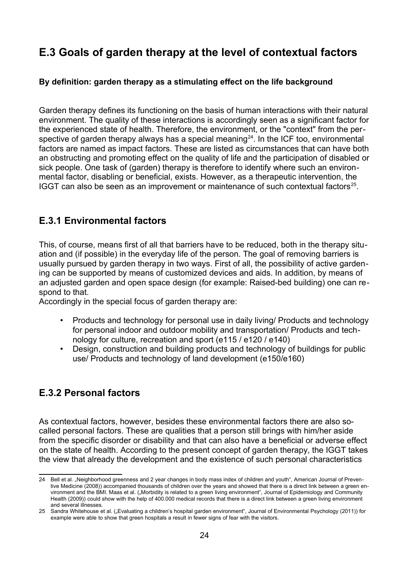# <span id="page-23-2"></span>**E.3 Goals of garden therapy at the level of contextual factors**

#### **By definition: garden therapy as a stimulating effect on the life background**

Garden therapy defines its functioning on the basis of human interactions with their natural environment. The quality of these interactions is accordingly seen as a significant factor for the experienced state of health. Therefore, the environment, or the "context" from the per-spective of garden therapy always has a special meaning<sup>[24](#page-23-3)</sup>. In the ICF too, environmental factors are named as impact factors. These are listed as circumstances that can have both an obstructing and promoting effect on the quality of life and the participation of disabled or sick people. One task of (garden) therapy is therefore to identify where such an environmental factor, disabling or beneficial, exists. However, as a therapeutic intervention, the IGGT can also be seen as an improvement or maintenance of such contextual factors $^{25}$  $^{25}$  $^{25}$ .

## <span id="page-23-1"></span>**E.3.1 Environmental factors**

This, of course, means first of all that barriers have to be reduced, both in the therapy situation and (if possible) in the everyday life of the person. The goal of removing barriers is usually pursued by garden therapy in two ways. First of all, the possibility of active gardening can be supported by means of customized devices and aids. In addition, by means of an adjusted garden and open space design (for example: Raised-bed building) one can respond to that.

Accordingly in the special focus of garden therapy are:

- Products and technology for personal use in daily living/ Products and technology for personal indoor and outdoor mobility and transportation/ Products and technology for culture, recreation and sport (e115 / e120 / e140)
- Design, construction and building products and technology of buildings for public use/ Products and technology of land development (e150/e160)

## <span id="page-23-0"></span>**E.3.2 Personal factors**

As contextual factors, however, besides these environmental factors there are also socalled personal factors. These are qualities that a person still brings with him/her aside from the specific disorder or disability and that can also have a beneficial or adverse effect on the state of health. According to the present concept of garden therapy, the IGGT takes the view that already the development and the existence of such personal characteristics

<span id="page-23-3"></span><sup>24</sup> Bell et al. "Neighborhood greenness and 2 year changes in body mass index of children and youth", American Journal of Preventive Medicine (2008)) accompanied thousands of children over the years and showed that there is a direct link between a green environment and the BMI. Maas et al. ("Morbidity is related to a green living environment", Journal of Epidemiology and Community Health (2009)) could show with the help of 400.000 medical records that there is a direct link between a green living environment and several illnesses.

<span id="page-23-4"></span><sup>25</sup> Sandra Whitehouse et al. ("Evaluating a children's hospital garden environment", Journal of Environmental Psychology (2011)) for example were able to show that green hospitals a result in fewer signs of fear with the visitors.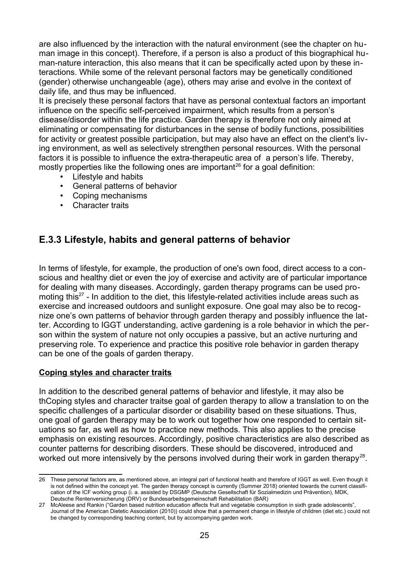are also influenced by the interaction with the natural environment (see the chapter on human image in this concept). Therefore, if a person is also a product of this biographical human-nature interaction, this also means that it can be specifically acted upon by these interactions. While some of the relevant personal factors may be genetically conditioned (gender) otherwise unchangeable (age), others may arise and evolve in the context of daily life, and thus may be influenced.

It is precisely these personal factors that have as personal contextual factors an important influence on the specific self-perceived impairment, which results from a person's disease/disorder within the life practice. Garden therapy is therefore not only aimed at eliminating or compensating for disturbances in the sense of bodily functions, possibilities for activity or greatest possible participation, but may also have an effect on the client's living environment, as well as selectively strengthen personal resources. With the personal factors it is possible to influence the extra-therapeutic area of a person's life. Thereby, mostly properties like the following ones are important<sup>[26](#page-24-1)</sup> for a goal definition:

- Lifestyle and habits
- General patterns of behavior
- Coping mechanisms
- Character traits

## <span id="page-24-0"></span>**E.3.3 Lifestyle, habits and general patterns of behavior**

In terms of lifestyle, for example, the production of one's own food, direct access to a conscious and healthy diet or even the joy of exercise and activity are of particular importance for dealing with many diseases. Accordingly, garden therapy programs can be used pro-moting this<sup>[27](#page-24-2)</sup> - In addition to the diet, this lifestyle-related activities include areas such as exercise and increased outdoors and sunlight exposure. One goal may also be to recognize one's own patterns of behavior through garden therapy and possibly influence the latter. According to IGGT understanding, active gardening is a role behavior in which the person within the system of nature not only occupies a passive, but an active nurturing and preserving role. To experience and practice this positive role behavior in garden therapy can be one of the goals of garden therapy.

#### **Coping styles and character traits**

In addition to the described general patterns of behavior and lifestyle, it may also be thCoping styles and character traitse goal of garden therapy to allow a translation to on the specific challenges of a particular disorder or disability based on these situations. Thus, one goal of garden therapy may be to work out together how one responded to certain situations so far, as well as how to practice new methods. This also applies to the precise emphasis on existing resources. Accordingly, positive characteristics are also described as counter patterns for describing disorders. These should be discovered, introduced and worked out more intensively by the persons involved during their work in garden therapy<sup>28</sup>.

<span id="page-24-1"></span><sup>26</sup> These personal factors are, as mentioned above, an integral part of functional health and therefore of IGGT as well. Even though it is not defined within the concept yet. The garden therapy concept is currently (Summer 2018) oriented towards the current classification of the ICF working group (i. a. assisted by DSGMP (Deutsche Gesellschaft für Sozialmedizin und Prävention), MDK, Deutsche Rentenversicherung (DRV) or Bundesarbeitsgemeinschaft Rehabilitation (BAR)

<span id="page-24-2"></span><sup>27</sup> McAleese and Rankin ("Garden based nutrition education affects fruit and vegetable consumption in sixth grade adolescents", Journal of the American Dietetic Association (2010)) could show that a permanent change in lifestyle of children (diet etc.) could not be changed by corresponding teaching content, but by accompanying garden work.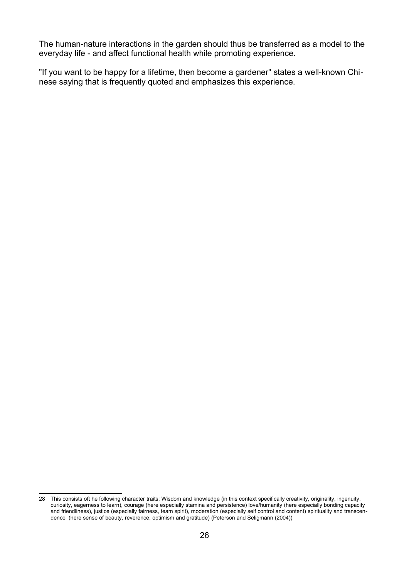The human-nature interactions in the garden should thus be transferred as a model to the everyday life - and affect functional health while promoting experience.

"If you want to be happy for a lifetime, then become a gardener" states a well-known Chinese saying that is frequently quoted and emphasizes this experience.

<sup>28</sup> This consists oft he following character traits: Wisdom and knowledge (in this context specifically creativity, originality, ingenuity, curiosity, eagerness to learn), courage (here especially stamina and persistence) love/humanity (here especially bonding capacity and friendliness), justice (especially fairness, team spirit), moderation (especially self control and content) spirituality and transcendence (here sense of beauty, reverence, optimism and gratitude) (Peterson and Seligmann (2004))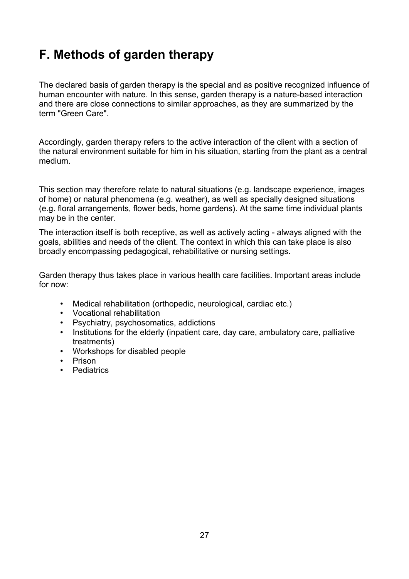# <span id="page-26-0"></span>**F. Methods of garden therapy**

The declared basis of garden therapy is the special and as positive recognized influence of human encounter with nature. In this sense, garden therapy is a nature-based interaction and there are close connections to similar approaches, as they are summarized by the term "Green Care".

Accordingly, garden therapy refers to the active interaction of the client with a section of the natural environment suitable for him in his situation, starting from the plant as a central medium.

This section may therefore relate to natural situations (e.g. landscape experience, images of home) or natural phenomena (e.g. weather), as well as specially designed situations (e.g. floral arrangements, flower beds, home gardens). At the same time individual plants may be in the center.

The interaction itself is both receptive, as well as actively acting - always aligned with the goals, abilities and needs of the client. The context in which this can take place is also broadly encompassing pedagogical, rehabilitative or nursing settings.

Garden therapy thus takes place in various health care facilities. Important areas include for now:

- Medical rehabilitation (orthopedic, neurological, cardiac etc.)
- Vocational rehabilitation
- Psychiatry, psychosomatics, addictions
- Institutions for the elderly (inpatient care, day care, ambulatory care, palliative treatments)
- Workshops for disabled people
- Prison
- Pediatrics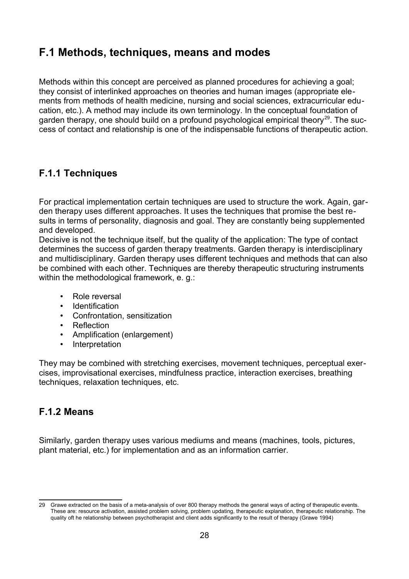## <span id="page-27-2"></span>**F.1 Methods, techniques, means and modes**

Methods within this concept are perceived as planned procedures for achieving a goal; they consist of interlinked approaches on theories and human images (appropriate elements from methods of health medicine, nursing and social sciences, extracurricular education, etc.). A method may include its own terminology. In the conceptual foundation of garden therapy, one should build on a profound psychological empirical theory<sup>[29](#page-27-3)</sup>. The success of contact and relationship is one of the indispensable functions of therapeutic action.

## <span id="page-27-1"></span>**F.1.1 Techniques**

For practical implementation certain techniques are used to structure the work. Again, garden therapy uses different approaches. It uses the techniques that promise the best results in terms of personality, diagnosis and goal. They are constantly being supplemented and developed.

Decisive is not the technique itself, but the quality of the application: The type of contact determines the success of garden therapy treatments. Garden therapy is interdisciplinary and multidisciplinary. Garden therapy uses different techniques and methods that can also be combined with each other. Techniques are thereby therapeutic structuring instruments within the methodological framework, e. g.:

- Role reversal
- Identification
- Confrontation, sensitization
- Reflection
- Amplification (enlargement)
- Interpretation

They may be combined with stretching exercises, movement techniques, perceptual exercises, improvisational exercises, mindfulness practice, interaction exercises, breathing techniques, relaxation techniques, etc.

## <span id="page-27-0"></span>**F.1.2 Means**

Similarly, garden therapy uses various mediums and means (machines, tools, pictures, plant material, etc.) for implementation and as an information carrier.

<span id="page-27-3"></span><sup>29</sup> Grawe extracted on the basis of a meta-analysis of over 800 therapy methods the general ways of acting of therapeutic events. These are: resource activation, assisted problem solving, problem updating, therapeutic explanation, therapeutic relationship. The quality oft he relationship between psychotherapist and client adds significantly to the result of therapy (Grawe 1994)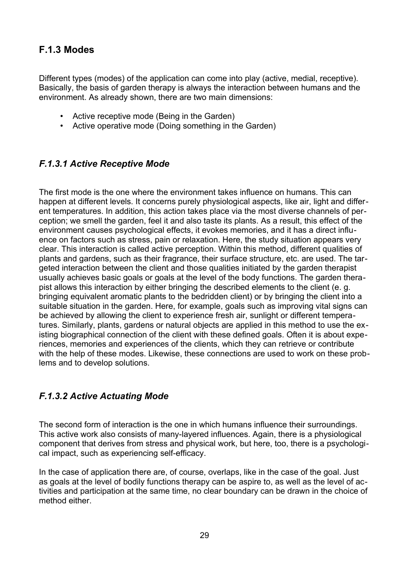## <span id="page-28-2"></span>**F.1.3 Modes**

Different types (modes) of the application can come into play (active, medial, receptive). Basically, the basis of garden therapy is always the interaction between humans and the environment. As already shown, there are two main dimensions:

- Active receptive mode (Being in the Garden)
- Active operative mode (Doing something in the Garden)

## <span id="page-28-1"></span>*F.1.3.1 Active Receptive Mode*

The first mode is the one where the environment takes influence on humans. This can happen at different levels. It concerns purely physiological aspects, like air, light and different temperatures. In addition, this action takes place via the most diverse channels of perception; we smell the garden, feel it and also taste its plants. As a result, this effect of the environment causes psychological effects, it evokes memories, and it has a direct influence on factors such as stress, pain or relaxation. Here, the study situation appears very clear. This interaction is called active perception. Within this method, different qualities of plants and gardens, such as their fragrance, their surface structure, etc. are used. The targeted interaction between the client and those qualities initiated by the garden therapist usually achieves basic goals or goals at the level of the body functions. The garden therapist allows this interaction by either bringing the described elements to the client (e. g. bringing equivalent aromatic plants to the bedridden client) or by bringing the client into a suitable situation in the garden. Here, for example, goals such as improving vital signs can be achieved by allowing the client to experience fresh air, sunlight or different temperatures. Similarly, plants, gardens or natural objects are applied in this method to use the existing biographical connection of the client with these defined goals. Often it is about experiences, memories and experiences of the clients, which they can retrieve or contribute with the help of these modes. Likewise, these connections are used to work on these problems and to develop solutions.

## <span id="page-28-0"></span>*F.1.3.2 Active Actuating Mode*

The second form of interaction is the one in which humans influence their surroundings. This active work also consists of many-layered influences. Again, there is a physiological component that derives from stress and physical work, but here, too, there is a psychological impact, such as experiencing self-efficacy.

In the case of application there are, of course, overlaps, like in the case of the goal. Just as goals at the level of bodily functions therapy can be aspire to, as well as the level of activities and participation at the same time, no clear boundary can be drawn in the choice of method either.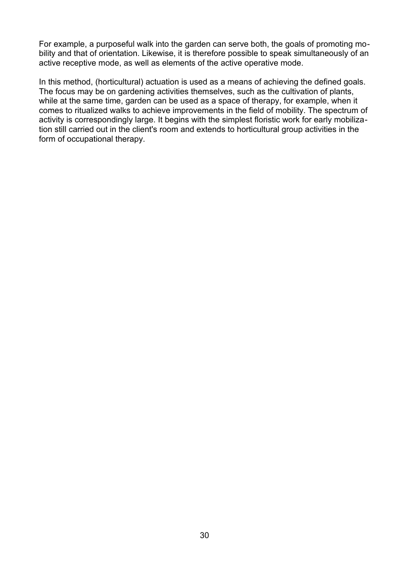For example, a purposeful walk into the garden can serve both, the goals of promoting mobility and that of orientation. Likewise, it is therefore possible to speak simultaneously of an active receptive mode, as well as elements of the active operative mode.

In this method, (horticultural) actuation is used as a means of achieving the defined goals. The focus may be on gardening activities themselves, such as the cultivation of plants, while at the same time, garden can be used as a space of therapy, for example, when it comes to ritualized walks to achieve improvements in the field of mobility. The spectrum of activity is correspondingly large. It begins with the simplest floristic work for early mobilization still carried out in the client's room and extends to horticultural group activities in the form of occupational therapy.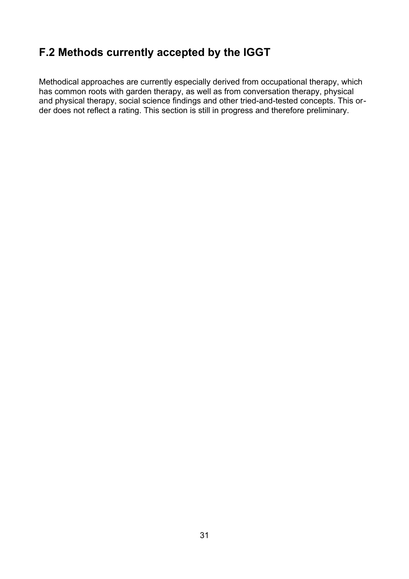# <span id="page-30-0"></span>**F.2 Methods currently accepted by the IGGT**

Methodical approaches are currently especially derived from occupational therapy, which has common roots with garden therapy, as well as from conversation therapy, physical and physical therapy, social science findings and other tried-and-tested concepts. This order does not reflect a rating. This section is still in progress and therefore preliminary.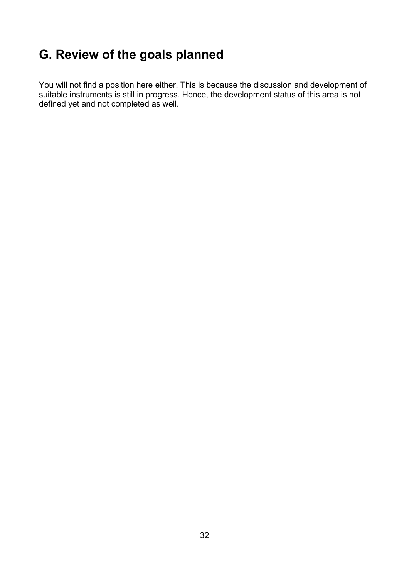# <span id="page-31-0"></span>**G. Review of the goals planned**

You will not find a position here either. This is because the discussion and development of suitable instruments is still in progress. Hence, the development status of this area is not defined yet and not completed as well.